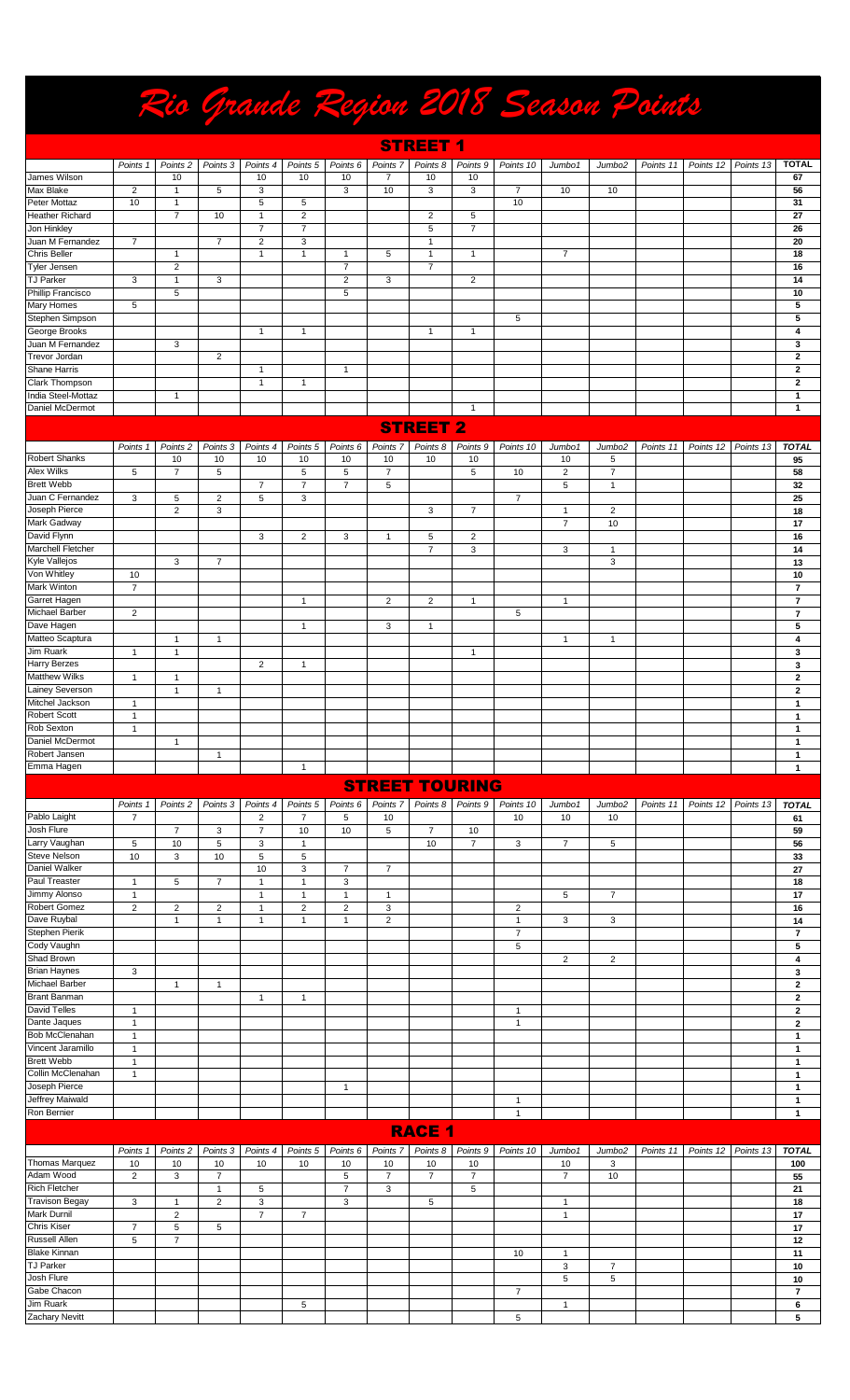|                                        |                              |                     |                              |                                |                              |                              |                           |                      |                        |                |                      |                    | Rio Grande Region 2018 Season Points |           |           |                                                    |
|----------------------------------------|------------------------------|---------------------|------------------------------|--------------------------------|------------------------------|------------------------------|---------------------------|----------------------|------------------------|----------------|----------------------|--------------------|--------------------------------------|-----------|-----------|----------------------------------------------------|
|                                        |                              |                     |                              |                                |                              |                              |                           | <b>STREET 1</b>      |                        |                |                      |                    |                                      |           |           |                                                    |
|                                        | Points 1                     | Points <sub>2</sub> | Points 3                     | Points 4                       | Points <sub>5</sub>          | Points <sub>6</sub>          | Points <sub>7</sub>       | Points 8             | Points <sub>9</sub>    | Points 10      | Jumbo1               | Jumbo <sub>2</sub> | Points 11                            | Points 12 | Points 13 | <b>TOTAL</b>                                       |
| James Wilson                           |                              | 10                  |                              | 10                             | 10                           | 10                           | $\overline{7}$            | 10                   | 10                     |                |                      |                    |                                      |           |           | 67                                                 |
| <b>Max Blake</b>                       | $\overline{2}$               | $\mathbf{1}$        | 5                            | 3                              |                              | 3                            | 10                        | 3                    | 3                      | $\overline{7}$ | 10                   | 10                 |                                      |           |           | 56                                                 |
| Peter Mottaz                           | 10                           | $\mathbf{1}$        |                              | 5                              | 5                            |                              |                           |                      |                        | 10             |                      |                    |                                      |           |           | 31                                                 |
| <b>Heather Richard</b><br>Jon Hinkley  |                              | $\overline{7}$      | 10                           | $\mathbf{1}$<br>$\overline{7}$ | $\sqrt{2}$<br>$\overline{7}$ |                              |                           | $\overline{2}$<br>5  | 5<br>$\overline{7}$    |                |                      |                    |                                      |           |           | 27<br>26                                           |
| Juan M Fernandez                       | $\overline{7}$               |                     | $\overline{7}$               | 2                              | 3                            |                              |                           | $\overline{1}$       |                        |                |                      |                    |                                      |           |           | 20                                                 |
| <b>Chris Beller</b>                    |                              | 1                   |                              | $\mathbf{1}$                   | $\mathbf{1}$                 | $\mathbf{1}$                 | 5                         | $\overline{1}$       | $\mathbf{1}$           |                | $\overline{7}$       |                    |                                      |           |           | 18                                                 |
| <b>Tyler Jensen</b>                    |                              | $\overline{2}$      |                              |                                |                              | $\overline{7}$               |                           | $\overline{7}$       |                        |                |                      |                    |                                      |           |           | 16                                                 |
| <b>TJ Parker</b>                       | 3                            | 1                   | 3                            |                                |                              | $\overline{2}$               | 3                         |                      | $\overline{2}$         |                |                      |                    |                                      |           |           | 14                                                 |
| Phillip Francisco                      |                              | 5                   |                              |                                |                              | $\overline{5}$               |                           |                      |                        |                |                      |                    |                                      |           |           | 10                                                 |
| <b>Mary Homes</b><br>Stephen Simpson   | 5                            |                     |                              |                                |                              |                              |                           |                      |                        | 5              |                      |                    |                                      |           |           | 5<br>5                                             |
| George Brooks                          |                              |                     |                              | $\mathbf{1}$                   | $\mathbf{1}$                 |                              |                           | $\overline{1}$       | $\mathbf{1}$           |                |                      |                    |                                      |           |           | 4                                                  |
| Juan M Fernandez                       |                              | 3                   |                              |                                |                              |                              |                           |                      |                        |                |                      |                    |                                      |           |           | 3                                                  |
| Trevor Jordan                          |                              |                     | $\overline{\mathbf{c}}$      |                                |                              |                              |                           |                      |                        |                |                      |                    |                                      |           |           | $\mathbf{2}$                                       |
| Shane Harris                           |                              |                     |                              | $\mathbf{1}$                   |                              | $\mathbf 1$                  |                           |                      |                        |                |                      |                    |                                      |           |           | $\mathbf{2}$                                       |
| Clark Thompson                         |                              |                     |                              | $\mathbf{1}$                   | $\overline{1}$               |                              |                           |                      |                        |                |                      |                    |                                      |           |           | $\mathbf{2}$                                       |
| India Steel-Mottaz<br>Daniel McDermot  |                              | 1                   |                              |                                |                              |                              |                           |                      | $\mathbf{1}$           |                |                      |                    |                                      |           |           | $\mathbf{1}$<br>$\mathbf{1}$                       |
|                                        |                              |                     |                              |                                |                              |                              |                           |                      |                        |                |                      |                    |                                      |           |           |                                                    |
|                                        |                              |                     |                              |                                |                              |                              |                           | <b>STREET 2</b>      |                        |                |                      |                    |                                      |           |           |                                                    |
|                                        | Points 1                     | Points <sub>2</sub> | Points 3                     | Points 4                       | Points 5                     | Points <sub>6</sub>          | Points <sub>7</sub>       | Points 8             | Points <sub>9</sub>    | Points 10      | Jumbo1               | Jumbo <sub>2</sub> | Points 11                            | Points 12 | Points 13 | <b>TOTAL</b>                                       |
| <b>Robert Shanks</b>                   |                              | 10                  | 10                           | 10                             | 10                           | 10                           | 10                        | 10                   | 10                     |                | 10                   | 5                  |                                      |           |           | 95                                                 |
| Alex Wilks                             | 5                            | $\overline{7}$      | 5                            |                                | 5                            | 5                            | $\overline{7}$            |                      | 5                      | 10             | $\overline{c}$       | $\overline{7}$     |                                      |           |           | 58                                                 |
| <b>Brett Webb</b>                      |                              |                     |                              | $\overline{7}$                 | $\overline{7}$               | $\overline{7}$               | 5                         |                      |                        |                | 5                    | $\mathbf{1}$       |                                      |           |           | 32                                                 |
| Juan C Fernandez<br>Joseph Pierce      | 3                            | 5<br>$\overline{2}$ | $\overline{\mathbf{c}}$<br>3 | 5                              | 3                            |                              |                           | 3                    | $\overline{7}$         | $\overline{7}$ | $\mathbf{1}$         | $\overline{2}$     |                                      |           |           | 25<br>18                                           |
| Mark Gadway                            |                              |                     |                              |                                |                              |                              |                           |                      |                        |                | $\overline{7}$       | 10                 |                                      |           |           | 17                                                 |
| David Flynn                            |                              |                     |                              | 3                              | $\overline{2}$               | 3                            | $\mathbf{1}$              | 5                    | $\overline{2}$         |                |                      |                    |                                      |           |           | 16                                                 |
| Marchell Fletcher                      |                              |                     |                              |                                |                              |                              |                           | $\overline{7}$       | 3                      |                | 3                    | $\mathbf{1}$       |                                      |           |           | 14                                                 |
| Kyle Vallejos                          |                              | 3                   | $\overline{7}$               |                                |                              |                              |                           |                      |                        |                |                      | 3                  |                                      |           |           | 13                                                 |
| Von Whitley                            | 10                           |                     |                              |                                |                              |                              |                           |                      |                        |                |                      |                    |                                      |           |           | 10                                                 |
| Mark Winton                            | $\overline{7}$               |                     |                              |                                |                              |                              |                           |                      |                        |                |                      |                    |                                      |           |           | $\overline{\mathbf{r}}$                            |
| Garret Hagen<br>Michael Barber         |                              |                     |                              |                                | $\overline{1}$               |                              | 2                         | $\overline{2}$       | $\mathbf{1}$           | 5              | $\mathbf{1}$         |                    |                                      |           |           | $\overline{\mathbf{r}}$<br>$\overline{\mathbf{r}}$ |
| Dave Hagen                             | $\overline{2}$               |                     |                              |                                | $\mathbf{1}$                 |                              | 3                         | $\mathbf{1}$         |                        |                |                      |                    |                                      |           |           | 5                                                  |
| Matteo Scaptura                        |                              | 1                   | $\mathbf{1}$                 |                                |                              |                              |                           |                      |                        |                | $\mathbf{1}$         | $\mathbf{1}$       |                                      |           |           | 4                                                  |
| Jim Ruark                              | $\mathbf{1}$                 | $\mathbf{1}$        |                              |                                |                              |                              |                           |                      | $\mathbf{1}$           |                |                      |                    |                                      |           |           | 3                                                  |
| <b>Harry Berzes</b>                    |                              |                     |                              | $\overline{c}$                 | 1                            |                              |                           |                      |                        |                |                      |                    |                                      |           |           | 3                                                  |
| <b>Matthew Wilks</b>                   | 1                            | 1                   |                              |                                |                              |                              |                           |                      |                        |                |                      |                    |                                      |           |           | $\overline{2}$                                     |
| <b>Lainey Severson</b>                 |                              | $\mathbf{1}$        | $\mathbf{1}$                 |                                |                              |                              |                           |                      |                        |                |                      |                    |                                      |           |           | $\mathbf{2}$                                       |
| Mitchel Jackson<br>Robert Scott        |                              |                     |                              |                                |                              |                              |                           |                      |                        |                |                      |                    |                                      |           |           | 1                                                  |
| Rob Sexton                             | $\mathbf{1}$<br>$\mathbf{1}$ |                     |                              |                                |                              |                              |                           |                      |                        |                |                      |                    |                                      |           |           | $\mathbf{1}$<br>$\mathbf{1}$                       |
| Daniel McDermot                        |                              | $\mathbf{1}$        |                              |                                |                              |                              |                           |                      |                        |                |                      |                    |                                      |           |           | $\mathbf{1}$                                       |
| Robert Jansen                          |                              |                     | $\mathbf{1}$                 |                                |                              |                              |                           |                      |                        |                |                      |                    |                                      |           |           | $\mathbf{1}$                                       |
| Emma Hagen                             |                              |                     |                              |                                | $\mathbf{1}$                 |                              |                           |                      |                        |                |                      |                    |                                      |           |           | $\mathbf{1}$                                       |
|                                        |                              |                     |                              |                                |                              |                              | <b>STREET TOURING</b>     |                      |                        |                |                      |                    |                                      |           |           |                                                    |
|                                        | Points 1                     | Points <sub>2</sub> | Points 3                     | Points 4                       | Points <sub>5</sub>          | Points 6                     | Points <sub>7</sub>       | Points 8             | Points 9               | Points 10      | Jumbo1               | Jumbo <sub>2</sub> | Points 11                            | Points 12 | Points 13 | <b>TOTAL</b>                                       |
| Pablo Laight                           | $\overline{7}$               |                     |                              | $\overline{2}$                 | $\overline{7}$               | $\,$ 5 $\,$                  | 10                        |                      |                        | 10             | 10                   | 10                 |                                      |           |           | 61                                                 |
| Josh Flure                             |                              | $\overline{7}$      | 3                            | $\overline{7}$                 | 10                           | 10                           | 5                         | $\overline{7}$       | 10                     |                |                      |                    |                                      |           |           | 59                                                 |
| Larry Vaughan                          | 5                            | 10                  | $\,$ 5 $\,$                  | $\ensuremath{\mathsf{3}}$      | $\mathbf{1}$                 |                              |                           | 10                   | $\overline{7}$         | 3              | $\overline{7}$       | 5                  |                                      |           |           | 56                                                 |
| Steve Nelson                           | 10                           | 3                   | 10                           | 5                              | $\sqrt{5}$                   |                              |                           |                      |                        |                |                      |                    |                                      |           |           | 33                                                 |
| Daniel Walker<br>Paul Treaster         | $\mathbf{1}$                 | 5                   | $\overline{\mathcal{I}}$     | 10<br>$\mathbf{1}$             | 3<br>$\mathbf{1}$            | $\overline{7}$<br>$\sqrt{3}$ | $\overline{7}$            |                      |                        |                |                      |                    |                                      |           |           | 27<br>18                                           |
| Jimmy Alonso                           | $\mathbf{1}$                 |                     |                              | $\mathbf{1}$                   | $\mathbf{1}$                 | $\mathbf{1}$                 | $\mathbf{1}$              |                      |                        |                | 5                    | $\overline{7}$     |                                      |           |           | 17                                                 |
| Robert Gomez                           | $\overline{2}$               | $\overline{2}$      | $\overline{2}$               | $\mathbf{1}$                   | $\overline{2}$               | $\overline{2}$               | $\ensuremath{\mathsf{3}}$ |                      |                        | $\overline{2}$ |                      |                    |                                      |           |           | 16                                                 |
| Dave Ruybal                            |                              | $\mathbf{1}$        | $\mathbf{1}$                 | $\mathbf{1}$                   | $\mathbf{1}$                 | $\mathbf{1}$                 | $\overline{2}$            |                      |                        | $\mathbf{1}$   | 3                    | 3                  |                                      |           |           | 14                                                 |
| Stephen Pierik                         |                              |                     |                              |                                |                              |                              |                           |                      |                        | $\overline{7}$ |                      |                    |                                      |           |           | $\overline{7}$                                     |
| Cody Vaughn                            |                              |                     |                              |                                |                              |                              |                           |                      |                        | 5              |                      |                    |                                      |           |           | ${\bf 5}$                                          |
| Shad Brown<br><b>Brian Haynes</b>      |                              |                     |                              |                                |                              |                              |                           |                      |                        |                | $\overline{2}$       | $\overline{c}$     |                                      |           |           | $\overline{\mathbf{4}}$                            |
| Michael Barber                         | 3                            | $\mathbf{1}$        | $\mathbf{1}$                 |                                |                              |                              |                           |                      |                        |                |                      |                    |                                      |           |           | 3<br>$\mathbf{2}$                                  |
| <b>Brant Banman</b>                    |                              |                     |                              | $\mathbf{1}$                   | $\overline{1}$               |                              |                           |                      |                        |                |                      |                    |                                      |           |           | $\mathbf{2}$                                       |
| David Telles                           | $\mathbf{1}$                 |                     |                              |                                |                              |                              |                           |                      |                        | $\mathbf{1}$   |                      |                    |                                      |           |           | $\mathbf 2$                                        |
| Dante Jaques                           | $\mathbf{1}$                 |                     |                              |                                |                              |                              |                           |                      |                        | $\mathbf{1}$   |                      |                    |                                      |           |           | $\mathbf{2}$                                       |
| Bob McClenahan                         | $\mathbf{1}$                 |                     |                              |                                |                              |                              |                           |                      |                        |                |                      |                    |                                      |           |           | 1                                                  |
| Vincent Jaramillo                      | $\mathbf{1}$                 |                     |                              |                                |                              |                              |                           |                      |                        |                |                      |                    |                                      |           |           | $\mathbf{1}$                                       |
| <b>Brett Webb</b><br>Collin McClenahan | $\mathbf{1}$                 |                     |                              |                                |                              |                              |                           |                      |                        |                |                      |                    |                                      |           |           | 1                                                  |
| Joseph Pierce                          | $\mathbf{1}$                 |                     |                              |                                |                              | $\mathbf{1}$                 |                           |                      |                        |                |                      |                    |                                      |           |           | $\mathbf{1}$<br>$\mathbf{1}$                       |
| Jeffrey Maiwald                        |                              |                     |                              |                                |                              |                              |                           |                      |                        | $\mathbf{1}$   |                      |                    |                                      |           |           | $\mathbf{1}$                                       |
| Ron Bernier                            |                              |                     |                              |                                |                              |                              |                           |                      |                        | $\mathbf{1}$   |                      |                    |                                      |           |           | $\mathbf{1}$                                       |
|                                        |                              |                     |                              |                                |                              |                              |                           | <b>RACE 1</b>        |                        |                |                      |                    |                                      |           |           |                                                    |
|                                        |                              |                     |                              |                                |                              |                              |                           |                      |                        |                |                      |                    |                                      |           |           |                                                    |
| <b>Thomas Marquez</b>                  | Points 1                     | Points <sub>2</sub> | Points 3                     | Points 4                       | Points 5                     | Points <sub>6</sub>          | Points 7                  | Points 8             | Points 9               | Points 10      | Jumbo1               | Jumbo <sub>2</sub> | Points 11                            | Points 12 | Points 13 | <b>TOTAL</b>                                       |
| Adam Wood                              | 10<br>$\overline{2}$         | 10<br>3             | 10<br>$\overline{7}$         | 10                             | 10                           | 10<br>$\,$ 5 $\,$            | 10<br>$\overline{7}$      | 10<br>$\overline{7}$ | $10$<br>$\overline{7}$ |                | 10<br>$\overline{7}$ | 3<br>10            |                                      |           |           | 100<br>55                                          |
| <b>Rich Fletcher</b>                   |                              |                     | $\mathbf{1}$                 | 5                              |                              | $\overline{7}$               | 3                         |                      | 5                      |                |                      |                    |                                      |           |           | 21                                                 |
| <b>Travison Begay</b>                  | 3                            | $\mathbf{1}$        | $\overline{2}$               | 3                              |                              | 3                            |                           | 5                    |                        |                | $\mathbf{1}$         |                    |                                      |           |           | 18                                                 |
| Mark Durnil                            |                              | $\mathbf 2$         |                              | $\overline{7}$                 | $\overline{7}$               |                              |                           |                      |                        |                | $\mathbf{1}$         |                    |                                      |           |           | 17                                                 |
| Chris Kiser                            | $\overline{7}$               | 5                   | 5                            |                                |                              |                              |                           |                      |                        |                |                      |                    |                                      |           |           | 17                                                 |
| Russell Allen                          | 5                            | $\overline{7}$      |                              |                                |                              |                              |                           |                      |                        |                |                      |                    |                                      |           |           | $\overline{12}$                                    |
| <b>Blake Kinnan</b>                    |                              |                     |                              |                                |                              |                              |                           |                      |                        | 10             | 1                    |                    |                                      |           |           | 11                                                 |
| <b>TJ Parker</b><br>Josh Flure         |                              |                     |                              |                                |                              |                              |                           |                      |                        |                | 3<br>5               | 7<br>5             |                                      |           |           | 10                                                 |
| Gabe Chacon                            |                              |                     |                              |                                |                              |                              |                           |                      |                        | $\overline{7}$ |                      |                    |                                      |           |           | 10<br>$\overline{7}$                               |
| Jim Ruark                              |                              |                     |                              |                                | 5                            |                              |                           |                      |                        |                | $\mathbf{1}$         |                    |                                      |           |           | 6                                                  |
| <b>Zachary Nevitt</b>                  |                              |                     |                              |                                |                              |                              |                           |                      |                        | 5              |                      |                    |                                      |           |           | 5                                                  |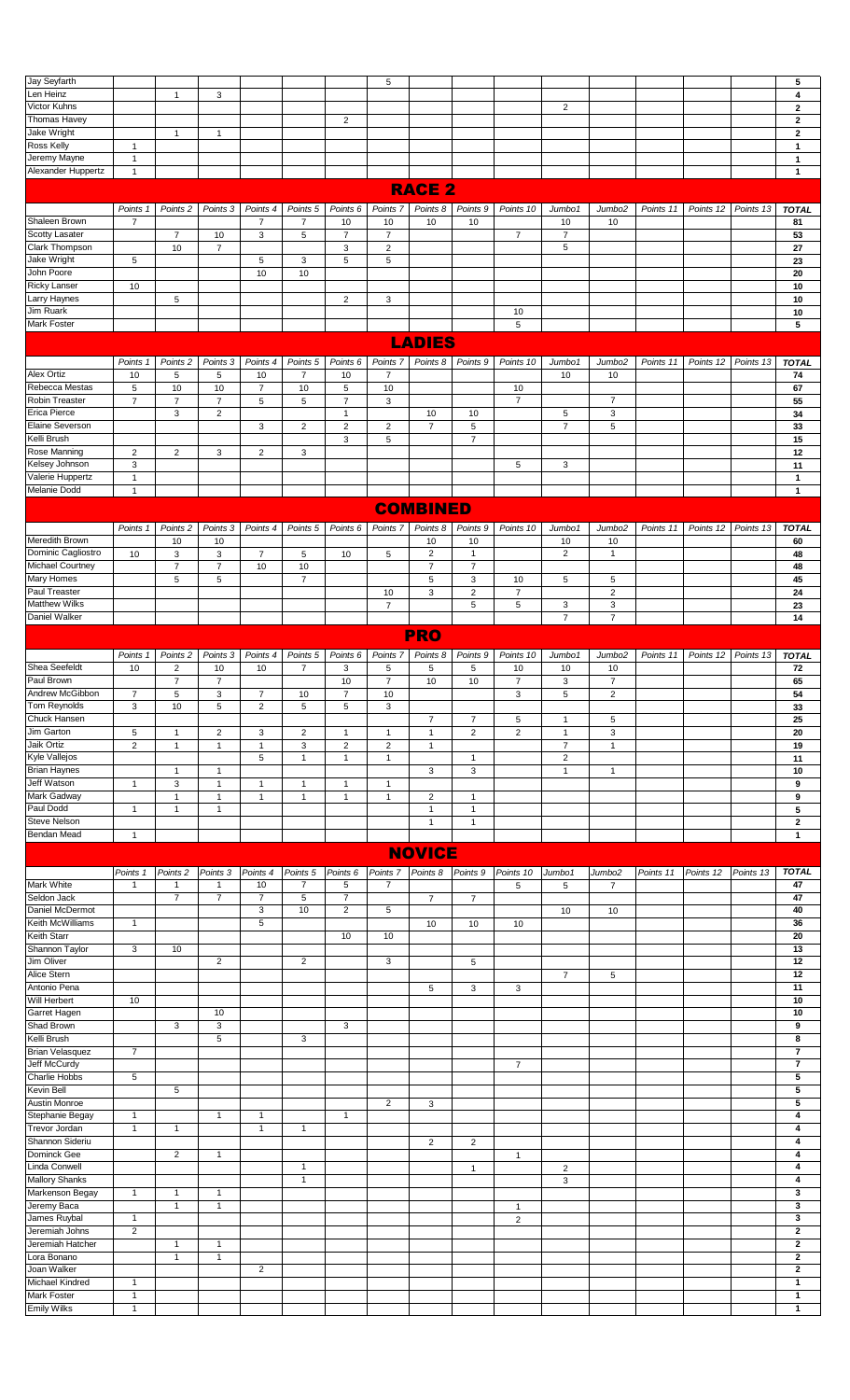| Jay Seyfarth                             |                              |                         |                |                  |                         |                     | 5                         |                 |                     |                           |                |                    |           |           |           | 5                            |
|------------------------------------------|------------------------------|-------------------------|----------------|------------------|-------------------------|---------------------|---------------------------|-----------------|---------------------|---------------------------|----------------|--------------------|-----------|-----------|-----------|------------------------------|
| Len Heinz                                |                              | $\mathbf{1}$            | 3              |                  |                         |                     |                           |                 |                     |                           |                |                    |           |           |           | 4                            |
| Victor Kuhns                             |                              |                         |                |                  |                         |                     |                           |                 |                     |                           | 2              |                    |           |           |           | $\overline{2}$               |
| Thomas Havey                             |                              |                         |                |                  |                         | $\overline{2}$      |                           |                 |                     |                           |                |                    |           |           |           | $\mathbf{2}$                 |
| Jake Wright                              |                              | $\mathbf{1}$            | $\mathbf{1}$   |                  |                         |                     |                           |                 |                     |                           |                |                    |           |           |           | $\overline{2}$               |
| <b>Ross Kelly</b>                        | $\mathbf{1}$                 |                         |                |                  |                         |                     |                           |                 |                     |                           |                |                    |           |           |           | $\mathbf{1}$                 |
| Jeremy Mayne<br>Alexander Huppertz       | $\mathbf{1}$<br>$\mathbf{1}$ |                         |                |                  |                         |                     |                           |                 |                     |                           |                |                    |           |           |           | $\mathbf{1}$<br>$\mathbf{1}$ |
|                                          |                              |                         |                |                  |                         |                     |                           |                 |                     |                           |                |                    |           |           |           |                              |
|                                          |                              |                         |                |                  |                         |                     |                           | <b>RACE 2</b>   |                     |                           |                |                    |           |           |           |                              |
|                                          | Points 1                     | Points <sub>2</sub>     | Points 3       | Points 4         | Points <sub>5</sub>     | Points 6            | Points 7                  | Points 8        | Points 9            | Points 10                 | Jumbo1         | Jumbo <sub>2</sub> | Points 11 | Points 12 | Points 13 | <b>TOTAL</b>                 |
| Shaleen Brown                            | $\overline{7}$               |                         |                | $\overline{7}$   | $\overline{7}$          | 10                  | 10                        | 10              | 10                  |                           | 10             | 10                 |           |           |           | 81                           |
| <b>Scotty Lasater</b>                    |                              | $\overline{7}$          | 10             | 3                | $\,$ 5 $\,$             | $\overline{7}$      | $\overline{7}$            |                 |                     | $\overline{7}$            | $\overline{7}$ |                    |           |           |           | 53                           |
| Clark Thompson                           |                              | 10                      | $\overline{7}$ |                  |                         | 3                   | $\overline{2}$            |                 |                     |                           | 5              |                    |           |           |           | 27                           |
| Jake Wright                              | 5                            |                         |                | 5                | 3                       | 5                   | 5                         |                 |                     |                           |                |                    |           |           |           | 23                           |
| John Poore                               |                              |                         |                | 10               | 10                      |                     |                           |                 |                     |                           |                |                    |           |           |           | 20                           |
| <b>Ricky Lanser</b>                      | 10                           |                         |                |                  |                         |                     |                           |                 |                     |                           |                |                    |           |           |           | 10                           |
| Larry Haynes                             |                              | 5                       |                |                  |                         | $\overline{2}$      | 3                         |                 |                     |                           |                |                    |           |           |           | 10                           |
| Jim Ruark                                |                              |                         |                |                  |                         |                     |                           |                 |                     | 10                        |                |                    |           |           |           | 10                           |
| Mark Foster                              |                              |                         |                |                  |                         |                     |                           |                 |                     | 5                         |                |                    |           |           |           | 5                            |
|                                          |                              |                         |                |                  |                         |                     |                           | <b>LADIES</b>   |                     |                           |                |                    |           |           |           |                              |
|                                          |                              |                         |                |                  |                         |                     |                           |                 |                     |                           |                |                    |           |           |           |                              |
|                                          | Points 1                     | Points <sub>2</sub>     | Points 3       | Points 4         | Points <sub>5</sub>     | Points 6            | Points <sub>7</sub>       | Points 8        | Points 9            | Points 10                 | Jumbo1         | Jumbo <sub>2</sub> | Points 11 | Points 12 | Points 13 | <b>TOTAL</b>                 |
| Alex Ortiz                               | 10                           | 5                       | 5              | 10               | $\overline{7}$          | 10                  | $\overline{7}$            |                 |                     |                           | 10             | 10                 |           |           |           | 74                           |
| Rebecca Mestas                           | 5                            | 10                      | 10             | $\overline{7}$   | $10$                    | 5                   | 10                        |                 |                     | 10                        |                |                    |           |           |           | 67                           |
| Robin Treaster                           | $\overline{7}$               | $\overline{7}$          | $\overline{7}$ | $\sqrt{5}$       | $\sqrt{5}$              | $\overline{7}$      | $\ensuremath{\mathsf{3}}$ |                 |                     | $\overline{7}$            |                | $\overline{7}$     |           |           |           | 55                           |
| Erica Pierce                             |                              | 3                       | $\overline{2}$ |                  |                         | $\mathbf{1}$        |                           | 10              | 10                  |                           | 5              | 3                  |           |           |           | 34                           |
| Elaine Severson                          |                              |                         |                | 3                | $\overline{\mathbf{c}}$ | $\overline{2}$      | $\overline{2}$            | $\overline{7}$  | 5                   |                           | $\overline{7}$ | 5                  |           |           |           | 33                           |
| Kelli Brush                              |                              |                         |                |                  |                         | 3                   | 5                         |                 | $\overline{7}$      |                           |                |                    |           |           |           | 15                           |
| Rose Manning                             | $\overline{c}$               | $\mathbf 2$             | 3              | $\boldsymbol{2}$ | 3                       |                     |                           |                 |                     |                           |                |                    |           |           |           | 12                           |
| Kelsey Johnson                           | 3                            |                         |                |                  |                         |                     |                           |                 |                     | 5                         | 3              |                    |           |           |           | 11                           |
| Valerie Huppertz                         | $\mathbf{1}$                 |                         |                |                  |                         |                     |                           |                 |                     |                           |                |                    |           |           |           | $\overline{1}$               |
| Melanie Dodd                             | $\mathbf{1}$                 |                         |                |                  |                         |                     |                           |                 |                     |                           |                |                    |           |           |           | $\mathbf{1}$                 |
|                                          |                              |                         |                |                  |                         |                     |                           | <b>COMBINED</b> |                     |                           |                |                    |           |           |           |                              |
|                                          | Points 1                     | Points <sub>2</sub>     | Points 3       | Points 4         | Points <sub>5</sub>     | Points <sub>6</sub> | Points 7                  | Points 8        | Points <sub>9</sub> | Points 10                 | Jumbo1         | Jumbo <sub>2</sub> | Points 11 | Points 12 | Points 13 | <b>TOTAL</b>                 |
| Meredith Brown                           |                              | 10                      | 10             |                  |                         |                     |                           | 10              | 10                  |                           | 10             | 10                 |           |           |           | 60                           |
| Dominic Cagliostro                       | 10                           | 3                       | 3              | $\overline{7}$   | 5                       | 10                  | 5                         | $\overline{2}$  | $\mathbf{1}$        |                           | $\overline{2}$ | $\mathbf{1}$       |           |           |           | 48                           |
| Michael Courtney                         |                              | $\overline{7}$          | $\overline{7}$ | 10               | $10$                    |                     |                           | $\overline{7}$  | $\overline{7}$      |                           |                |                    |           |           |           | 48                           |
| Mary Homes                               |                              | 5                       | 5              |                  | $\overline{7}$          |                     |                           | 5               | 3                   | 10                        | 5              | 5                  |           |           |           | 45                           |
| Paul Treaster                            |                              |                         |                |                  |                         |                     | 10                        | $\mathsf 3$     | $\overline{2}$      | $\overline{7}$            |                | $\overline{2}$     |           |           |           | 24                           |
| <b>Matthew Wilks</b>                     |                              |                         |                |                  |                         |                     | $\overline{7}$            |                 | $\,$ 5 $\,$         | $\sqrt{5}$                | 3              | $\mathsf 3$        |           |           |           | 23                           |
| <b>Daniel Walker</b>                     |                              |                         |                |                  |                         |                     |                           |                 |                     |                           | $\overline{7}$ | $\overline{7}$     |           |           |           | 14                           |
|                                          |                              |                         |                |                  |                         |                     |                           | <b>PRO</b>      |                     |                           |                |                    |           |           |           |                              |
|                                          |                              |                         |                |                  |                         |                     |                           |                 |                     |                           |                |                    |           |           |           |                              |
|                                          | Points 1                     | Points <sub>2</sub>     | Points 3       | Points 4         | Points <sub>5</sub>     | Points 6            | Points <sub>7</sub>       | Points 8        | Points 9            | Points 10                 | Jumbo1         | Jumbo <sub>2</sub> | Points 11 | Points 12 | Points 13 | <b>TOTAL</b>                 |
| Shea Seefeldt                            | 10                           | $\overline{\mathbf{c}}$ | 10             | 10               | $\overline{7}$          | 3                   | 5                         | 5               | 5                   | 10                        | 10             | 10                 |           |           |           | 72                           |
| Paul Brown                               |                              | $\overline{7}$          | $\overline{7}$ |                  |                         | 10                  | $\overline{7}$            | 10              | 10                  | $\overline{7}$            | 3              | $\overline{7}$     |           |           |           | 65                           |
| Andrew McGibbon                          | 7                            | 5                       | 3              | 7                | 10                      | 7                   | 10                        |                 |                     | 3                         | 5              | 2                  |           |           |           | 54                           |
|                                          |                              |                         |                |                  |                         |                     |                           |                 |                     |                           |                |                    |           |           |           |                              |
| Tom Reynolds                             | 3                            | 10                      | 5              | $\boldsymbol{2}$ | 5                       | 5                   | 3                         |                 |                     |                           |                |                    |           |           |           | 33                           |
| Chuck Hansen                             |                              |                         |                |                  |                         |                     |                           | $\overline{7}$  | $\overline{7}$      | $\,$ 5 $\,$               | $\mathbf{1}$   | 5                  |           |           |           | 25                           |
| Jim Garton                               | 5                            | $\mathbf{1}$            | $\overline{2}$ | 3                | $\overline{c}$          | $\mathbf{1}$        | $\mathbf{1}$              | $\overline{1}$  | 2                   | $\overline{2}$            | $\mathbf{1}$   | 3                  |           |           |           | 20                           |
| Jaik Ortiz                               | $\overline{2}$               | $\mathbf{1}$            | $\mathbf{1}$   | $\mathbf{1}$     | 3                       | $\overline{2}$      | $\overline{2}$            | $\mathbf{1}$    |                     |                           | $\overline{7}$ | $\mathbf{1}$       |           |           |           | 19                           |
| Kyle Vallejos                            |                              |                         |                | 5                | $\mathbf{1}$            | $\mathbf{1}$        | $\mathbf{1}$              |                 | $\mathbf{1}$        |                           | 2              |                    |           |           |           | 11                           |
| <b>Brian Haynes</b>                      |                              | $\mathbf{1}$            | $\mathbf{1}$   |                  |                         |                     |                           | 3               | 3                   |                           | $\mathbf{1}$   | $\mathbf{1}$       |           |           |           | 10                           |
| Jeff Watson                              | $\mathbf{1}$                 | 3                       | $\mathbf{1}$   | $\overline{1}$   | $\mathbf{1}$            | $\mathbf{1}$        | $\mathbf{1}$              |                 |                     |                           |                |                    |           |           |           | 9                            |
| Mark Gadway                              |                              | $\mathbf{1}$            | $\mathbf{1}$   | $\mathbf{1}$     | $\mathbf{1}$            | $\mathbf{1}$        | $\mathbf{1}$              | $\overline{2}$  | $\mathbf{1}$        |                           |                |                    |           |           |           | 9                            |
| Paul Dodd                                | $\mathbf{1}$                 | $\mathbf{1}$            | $\mathbf{1}$   |                  |                         |                     |                           | $\mathbf{1}$    | $\mathbf{1}$        |                           |                |                    |           |           |           | $\sqrt{5}$                   |
| Steve Nelson                             |                              |                         |                |                  |                         |                     |                           | $\mathbf{1}$    | $\mathbf{1}$        |                           |                |                    |           |           |           | $\mathbf{2}$                 |
| Bendan Mead                              | $\mathbf{1}$                 |                         |                |                  |                         |                     |                           |                 |                     |                           |                |                    |           |           |           | $\mathbf{1}$                 |
|                                          |                              |                         |                |                  |                         |                     |                           | <b>NOVICE</b>   |                     |                           |                |                    |           |           |           |                              |
|                                          | Points 1                     | Points <sub>2</sub>     | Points 3       | Points 4         | Points <sub>5</sub>     | Points 6            | Points 7 Points 8         |                 | Points 9            | Points 10                 | Jumbo1         | Jumbo <sub>2</sub> | Points 11 | Points 12 | Points 13 | <b>TOTAL</b>                 |
| Mark White                               | $\mathbf{1}$                 | 1                       | $\mathbf{1}$   | 10               | 7                       | 5                   | 7                         |                 |                     | $\,$ 5 $\,$               | 5              | $\overline{7}$     |           |           |           | 47                           |
| Seldon Jack                              |                              | $\overline{7}$          | $\overline{7}$ | $\overline{7}$   | 5                       | $\overline{7}$      |                           | $\overline{7}$  | $\overline{7}$      |                           |                |                    |           |           |           | 47                           |
| Daniel McDermot                          |                              |                         |                | 3                | 10                      | $\overline{2}$      | 5                         |                 |                     |                           | 10             | 10                 |           |           |           | 40                           |
| Keith McWilliams                         | $\mathbf{1}$                 |                         |                | $\sqrt{5}$       |                         |                     |                           | 10              | 10                  | 10                        |                |                    |           |           |           | 36                           |
| Keith Starr                              |                              |                         |                |                  |                         | 10                  | 10                        |                 |                     |                           |                |                    |           |           |           | 20                           |
| Shannon Taylor                           | 3                            | 10                      |                |                  |                         |                     |                           |                 |                     |                           |                |                    |           |           |           | 13                           |
| Jim Oliver                               |                              |                         | $\overline{2}$ |                  | $\overline{2}$          |                     | 3                         |                 | 5                   |                           |                |                    |           |           |           | 12                           |
| Alice Stern                              |                              |                         |                |                  |                         |                     |                           |                 |                     |                           | $\overline{7}$ | 5                  |           |           |           | 12                           |
| Antonio Pena                             |                              |                         |                |                  |                         |                     |                           | 5               | 3                   | $\ensuremath{\mathsf{3}}$ |                |                    |           |           |           | 11                           |
| Will Herbert                             | 10                           |                         |                |                  |                         |                     |                           |                 |                     |                           |                |                    |           |           |           | 10                           |
| Garret Hagen                             |                              |                         | 10             |                  |                         |                     |                           |                 |                     |                           |                |                    |           |           |           | 10<br>9                      |
| Shad Brown                               |                              | 3                       | 3<br>5         |                  |                         | 3                   |                           |                 |                     |                           |                |                    |           |           |           | 8                            |
| Kelli Brush<br><b>Brian Velasquez</b>    | $\overline{7}$               |                         |                |                  | 3                       |                     |                           |                 |                     |                           |                |                    |           |           |           | $\overline{7}$               |
| Jeff McCurdy                             |                              |                         |                |                  |                         |                     |                           |                 |                     | $\overline{7}$            |                |                    |           |           |           | $\overline{7}$               |
| Charlie Hobbs                            | 5                            |                         |                |                  |                         |                     |                           |                 |                     |                           |                |                    |           |           |           | $\sqrt{5}$                   |
| <b>Kevin Bell</b>                        |                              | 5                       |                |                  |                         |                     |                           |                 |                     |                           |                |                    |           |           |           | 5                            |
| Austin Monroe                            |                              |                         |                |                  |                         |                     | $\overline{c}$            | 3               |                     |                           |                |                    |           |           |           | 5                            |
| Stephanie Begay                          | $\mathbf{1}$                 |                         | $\mathbf{1}$   | $\mathbf{1}$     |                         | $\mathbf{1}$        |                           |                 |                     |                           |                |                    |           |           |           | 4                            |
| Trevor Jordan                            | $\mathbf{1}$                 | $\mathbf{1}$            |                | $\mathbf{1}$     | $\mathbf{1}$            |                     |                           |                 |                     |                           |                |                    |           |           |           | 4                            |
| Shannon Sideriu                          |                              |                         |                |                  |                         |                     |                           | $\overline{2}$  | $\overline{c}$      |                           |                |                    |           |           |           | 4                            |
| Dominck Gee                              |                              | $\overline{2}$          | $\mathbf{1}$   |                  |                         |                     |                           |                 |                     | $\mathbf{1}$              |                |                    |           |           |           | 4                            |
| Linda Conwell                            |                              |                         |                |                  | $\mathbf{1}$            |                     |                           |                 | $\mathbf{1}$        |                           | $\overline{c}$ |                    |           |           |           | 4                            |
| <b>Mallory Shanks</b>                    |                              |                         |                |                  | $\mathbf{1}$            |                     |                           |                 |                     |                           | 3              |                    |           |           |           | 4                            |
| Markenson Begay                          | $\mathbf{1}$                 | $\mathbf{1}$            | $\mathbf{1}$   |                  |                         |                     |                           |                 |                     |                           |                |                    |           |           |           | 3                            |
| Jeremy Baca                              |                              | $\mathbf{1}$            | $\mathbf{1}$   |                  |                         |                     |                           |                 |                     | $\overline{1}$            |                |                    |           |           |           | 3                            |
| James Ruybal                             | $\overline{1}$               |                         |                |                  |                         |                     |                           |                 |                     | $\overline{2}$            |                |                    |           |           |           | 3                            |
| Jeremiah Johns                           | $\overline{2}$               |                         |                |                  |                         |                     |                           |                 |                     |                           |                |                    |           |           |           | $\overline{2}$               |
| Jeremiah Hatcher                         |                              | $\mathbf{1}$            | $\mathbf{1}$   |                  |                         |                     |                           |                 |                     |                           |                |                    |           |           |           | $\bf{2}$                     |
| Lora Bonano                              |                              | $\mathbf{1}$            | $\mathbf{1}$   |                  |                         |                     |                           |                 |                     |                           |                |                    |           |           |           | $\mathbf{2}$                 |
| Joan Walker                              |                              |                         |                | $\overline{2}$   |                         |                     |                           |                 |                     |                           |                |                    |           |           |           | $\mathbf{2}$                 |
| Michael Kindred                          | $\mathbf{1}$                 |                         |                |                  |                         |                     |                           |                 |                     |                           |                |                    |           |           |           | $\mathbf{1}$                 |
| <b>Mark Foster</b><br><b>Emily Wilks</b> | $\mathbf{1}$<br>1            |                         |                |                  |                         |                     |                           |                 |                     |                           |                |                    |           |           |           | $\mathbf{1}$<br>$\mathbf{1}$ |